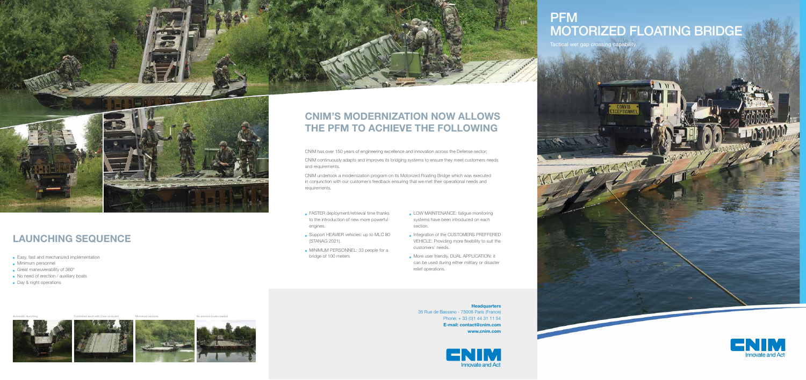# PFM MOTORIZED FLOATING BRIDGE

Tactical wet gap crossin





# CNIM's modernization now allows THE PFM TO ACHIEVE THE FOLLOWING

35 Rue de Bassano - 75008 Paris (France) Phone: + 33 (0)1 44 31 11 54 E-mail: contact@cnim.com www.cnim.com



- **FASTER deployment/retrieval time thanks** to the introduction of new more powerful engines.
- Support HEAVIER vehicles: up to MLC 80 (STANAG 2021).
- **MINIMUM PERSONNEL: 33 people for a** bridge of 100 meters

Automatic launching **Controlled lauch with Crew on-board** Motorized sections Motorized section boats needed









# Launching Sequence

- **Easy, fast and mechanized implementation**
- **Minimum personnel**
- Great maneuverability of 360°
- No need of erection / auxiliary boats
- Day & night operations
- LOW MAINTENANCE: fatigue monitoring systems have been introduced on each section.
- Integration of the CUSTOMERS PREFFERED VEHICLE: Providing more flexibility to suit the customers' needs.
- **More user friendly, DUAL APPLICATION: it** can be used during either military or disaster relief operations.

#### **Headquarters**

CNIM has over 150 years of engineering excellence and innovation across the Defense sector; CNIM continuously adapts and improves its bridging systems to ensure they meet customers needs

and requirements.

CNIM undertook a modernization program on its Motorized Floating Bridge which was executed in conjunction with our customer's feedback ensuring that we met their operational needs and requirements.